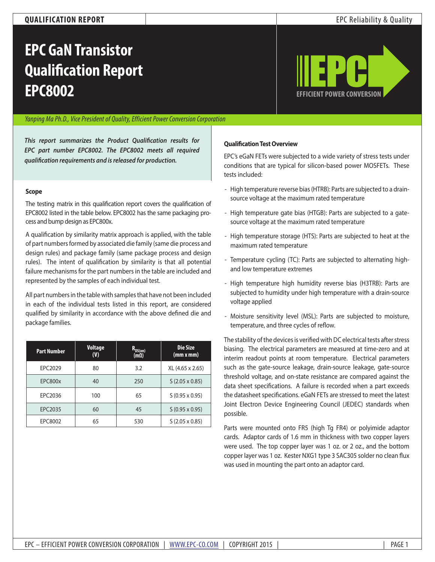## **QUALIFICATION REPORT** EPC Reliability & Quality

# **EPC GaN Transistor Qualification Report EPC8002 [EFFICIENT POWER CONVERSION](http://www.epc-co.com)**



### *Yanping Ma Ph.D., Vice President of Quality, Efficient Power Conversion Corporation*

*This report summarizes the Product Qualification results for EPC part number EPC8002. The EPC8002 meets all required qualification requirements and is released for production.*

#### **Scope**

The testing matrix in this qualification report covers the qualification of EPC8002 listed in the table below. EPC8002 has the same packaging process and bump design as EPC800x.

A qualification by similarity matrix approach is applied, with the table of part numbers formed by associated die family (same die process and design rules) and package family (same package process and design rules). The intent of qualification by similarity is that all potential failure mechanisms for the part numbers in the table are included and represented by the samples of each individual test.

All part numbers in the table with samples that have not been included in each of the individual tests listed in this report, are considered qualified by similarity in accordance with the above defined die and package families.

| <b>Part Number</b> | <b>Voltage</b><br>(V) | $R_{DS(qn)}$<br>$(m\Omega)$ | Die Size<br>(mm x mm) |
|--------------------|-----------------------|-----------------------------|-----------------------|
| EPC2029            | 80                    | 3.2                         | XL (4.65 x 2.65)      |
| <b>EPC800x</b>     | 40                    | 250                         | $S(2.05 \times 0.85)$ |
| EPC2036            | 100                   | 65                          | $S(0.95 \times 0.95)$ |
| EPC2035            | 60                    | 45                          | $S(0.95 \times 0.95)$ |
| EPC8002            | 65                    | 530                         | $S(2.05 \times 0.85)$ |

#### **Qualification Test Overview**

EPC's eGaN FETs were subjected to a wide variety of stress tests under conditions that are typical for silicon-based power MOSFETs. These tests included:

- High temperature reverse bias (HTRB): Parts are subjected to a drainsource voltage at the maximum rated temperature
- High temperature gate bias (HTGB): Parts are subjected to a gatesource voltage at the maximum rated temperature
- High temperature storage (HTS): Parts are subjected to heat at the maximum rated temperature
- Temperature cycling (TC): Parts are subjected to alternating highand low temperature extremes
- High temperature high humidity reverse bias (H3TRB): Parts are subjected to humidity under high temperature with a drain-source voltage applied
- Moisture sensitivity level (MSL): Parts are subjected to moisture, temperature, and three cycles of reflow.

The stability of the devices is verified with DC electrical tests after stress biasing. The electrical parameters are measured at time-zero and at interim readout points at room temperature. Electrical parameters such as the gate-source leakage, drain-source leakage, gate-source threshold voltage, and on-state resistance are compared against the data sheet specifications. A failure is recorded when a part exceeds the datasheet specifications. eGaN FETs are stressed to meet the latest Joint Electron Device Engineering Council (JEDEC) standards when possible.

Parts were mounted onto FR5 (high Tg FR4) or polyimide adaptor cards. Adaptor cards of 1.6 mm in thickness with two copper layers were used. The top copper layer was 1 oz. or 2 oz., and the bottom copper layer was 1 oz. Kester NXG1 type 3 SAC305 solder no clean flux was used in mounting the part onto an adaptor card.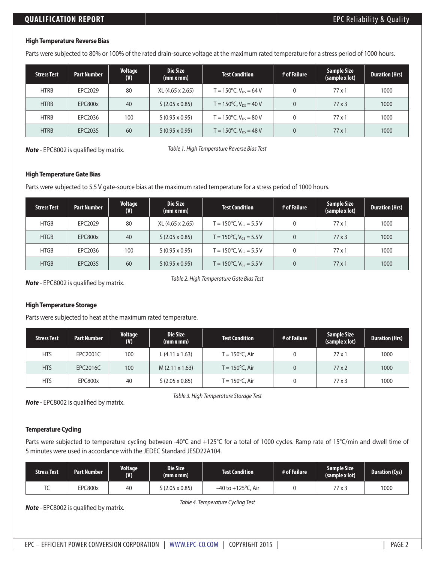### **High Temperature Reverse Bias**

Parts were subjected to 80% or 100% of the rated drain-source voltage at the maximum rated temperature for a stress period of 1000 hours.

| <b>Stress Test</b> | <b>Part Number</b> | Voltage<br>(V) | Die Size<br>(mm x mm) | <b>Test Condition</b>                | # of Failure | <b>Sample Size</b><br>(sample x lot) | <b>Duration (Hrs)</b> |
|--------------------|--------------------|----------------|-----------------------|--------------------------------------|--------------|--------------------------------------|-----------------------|
| <b>HTRB</b>        | EPC2029            | 80             | XL (4.65 x 2.65)      | $T = 150^{\circ}$ C, $V_{DS} = 64$ V |              | $77 \times 1$                        | 1000                  |
| <b>HTRB</b>        | EPC800x            | 40             | $S(2.05 \times 0.85)$ | $T = 150^{\circ}$ C, $V_{DS} = 40 V$ |              | $77 \times 3$                        | 1000                  |
| <b>HTRB</b>        | EPC2036            | 100            | $S(0.95 \times 0.95)$ | $T = 150^{\circ}$ C, $V_{DS} = 80 V$ |              | $77 \times 1$                        | 1000                  |
| <b>HTRB</b>        | EPC2035            | 60             | $S(0.95 \times 0.95)$ | $T = 150^{\circ}$ C, $V_{DS} = 48 V$ |              | $77 \times 1$                        | 1000                  |

*Note* - EPC8002 is qualified by matrix.

*Table 1. High Temperature Reverse Bias Test*

#### **High Temperature Gate Bias**

Parts were subjected to 5.5 V gate-source bias at the maximum rated temperature for a stress period of 1000 hours.

| <b>Stress Test</b> | <b>Part Number</b> | Voltage<br>(V) | <b>Die Size</b><br>(mm x mm) | <b>Test Condition</b>                        | # of Failure | <b>Sample Size</b><br>(sample x lot) | <b>Duration (Hrs)</b> |
|--------------------|--------------------|----------------|------------------------------|----------------------------------------------|--------------|--------------------------------------|-----------------------|
| <b>HTGB</b>        | EPC2029            | 80             | XL (4.65 x 2.65)             | T = 150 $\degree$ C, V <sub>GS</sub> = 5.5 V |              | $77 \times 1$                        | 1000                  |
| <b>HTGB</b>        | <b>EPC800x</b>     | 40             | $S(2.05 \times 0.85)$        | $T = 150^{\circ}$ C, V <sub>GS</sub> = 5.5 V |              | $77 \times 3$                        | 1000                  |
| <b>HTGB</b>        | EPC2036            | 100            | $S(0.95 \times 0.95)$        | $T = 150^{\circ}$ C, V <sub>GS</sub> = 5.5 V |              | $77 \times 1$                        | 1000                  |
| <b>HTGB</b>        | EPC2035            | 60             | $S(0.95 \times 0.95)$        | $T = 150^{\circ}$ C, V <sub>GS</sub> = 5.5 V |              | $77 \times 1$                        | 1000                  |

*Note* - EPC8002 is qualified by matrix.

*Table 2. High Temperature Gate Bias Test*

#### **High Temperature Storage**

Parts were subjected to heat at the maximum rated temperature.

| <b>Stress Test</b> | <b>Part Number</b> | Voltage<br>(V) | Die Size<br>(mm x mm) | <b>Test Condition</b>    | # of Failure | <b>Sample Size</b><br>(sample x lot) | <b>Duration (Hrs)</b> |
|--------------------|--------------------|----------------|-----------------------|--------------------------|--------------|--------------------------------------|-----------------------|
| <b>HTS</b>         | EPC2001C           | 100            | $L(4.11 \times 1.63)$ | Г = 150°С. Air           |              | $77 \times 1$                        | 1000                  |
| <b>HTS</b>         | EPC2016C           | 100            | $M(2.11 \times 1.63)$ | $T = 150^{\circ}$ C, Air |              | $77 \times 2$                        | 1000                  |
| <b>HTS</b>         | EPC800x            | 40             | $S(2.05 \times 0.85)$ | Г = 150°С, Air           |              | $77 \times 3$                        | 1000                  |

*Note* - EPC8002 is qualified by matrix.

*Table 3. High Temperature Storage Test*

#### **Temperature Cycling**

Parts were subjected to temperature cycling between -40°C and +125°C for a total of 1000 cycles. Ramp rate of 15°C/min and dwell time of 5 minutes were used in accordance with the JEDEC Standard JESD22A104.

| <b>Stress Test</b> | Part Number | <b>Voltage</b><br>(V) | Die Size<br>(mm x mm) | <b>Test Condition</b>   | # of Failure | <b>Sample Size</b><br>(sample x lot) | <b>Duration (Cys)</b> |
|--------------------|-------------|-----------------------|-----------------------|-------------------------|--------------|--------------------------------------|-----------------------|
| ╰                  | EPC800x     | 40                    | S(2.05 x 0.85)        | $-40$ to $+125$ °C. Air |              | 77x3                                 | 1000                  |

*Table 4. Temperature Cycling Test Note* - EPC8002 is qualified by matrix.